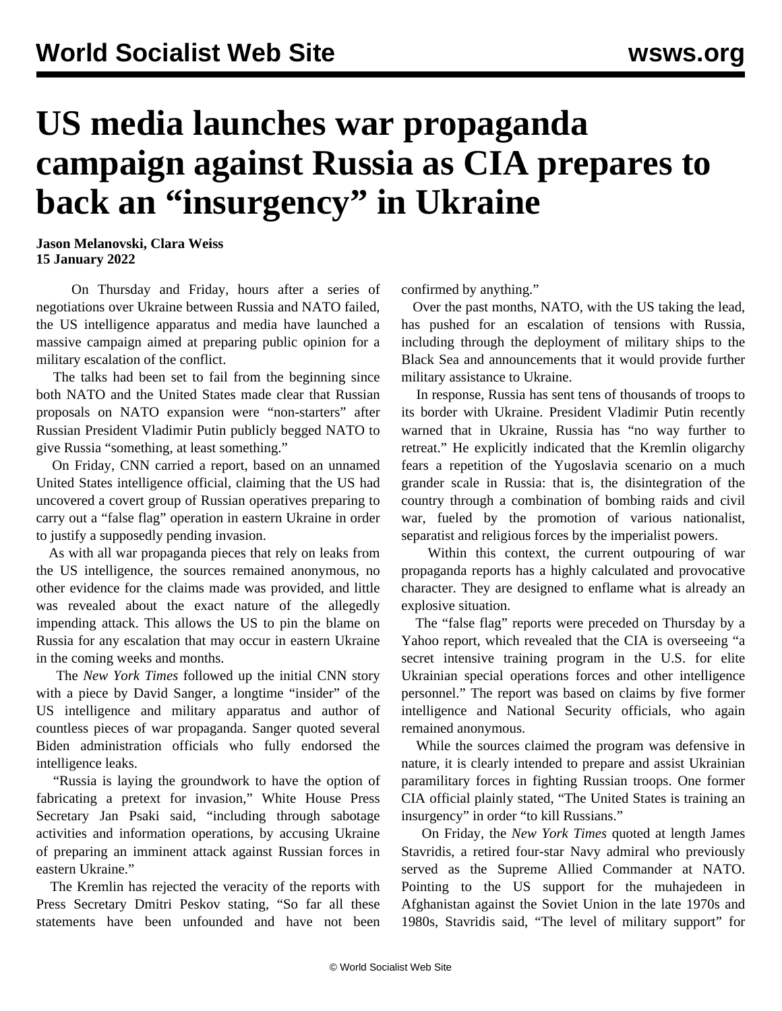## **US media launches war propaganda campaign against Russia as CIA prepares to back an "insurgency" in Ukraine**

**Jason Melanovski, Clara Weiss 15 January 2022**

 On Thursday and Friday, hours after a series of negotiations over Ukraine between Russia and NATO [failed,](/en/articles/2022/01/13/nato-j13.html) the US intelligence apparatus and media have launched a massive campaign aimed at preparing public opinion for a military escalation of the conflict.

 The talks had been set to fail from the beginning since both NATO and the United States made clear that Russian proposals on NATO expansion were "non-starters" after Russian President Vladimir Putin publicly begged NATO to give Russia "something, at least something."

 On Friday, CNN carried a report, based on an unnamed United States intelligence official, claiming that the US had uncovered a covert group of Russian operatives preparing to carry out a "false flag" operation in eastern Ukraine in order to justify a supposedly pending invasion.

 As with all war propaganda pieces that rely on leaks from the US intelligence, the sources remained anonymous, no other evidence for the claims made was provided, and little was revealed about the exact nature of the allegedly impending attack. This allows the US to pin the blame on Russia for any escalation that may occur in eastern Ukraine in the coming weeks and months.

 The *New York Times* followed up the initial CNN story with a piece by David Sanger, a longtime "insider" of the US intelligence and military apparatus and author of countless pieces of war propaganda. Sanger quoted several Biden administration officials who fully endorsed the intelligence leaks.

 "Russia is laying the groundwork to have the option of fabricating a pretext for invasion," White House Press Secretary Jan Psaki said, "including through sabotage activities and information operations, by accusing Ukraine of preparing an imminent attack against Russian forces in eastern Ukraine."

 The Kremlin has rejected the veracity of the reports with Press Secretary Dmitri Peskov stating, "So far all these statements have been unfounded and have not been confirmed by anything."

 Over the past months, NATO, with the US taking the lead, has pushed for an escalation of tensions with Russia, including through the deployment of military ships to the Black Sea and announcements that it would provide further military assistance to Ukraine.

 In response, Russia has sent tens of thousands of troops to its border with Ukraine. President Vladimir Putin [recently](/en/articles/2021/12/24/russ-d24.html) [warned](/en/articles/2021/12/24/russ-d24.html) that in Ukraine, Russia has "no way further to retreat." He explicitly indicated that the Kremlin oligarchy fears a repetition of the Yugoslavia scenario on a much grander scale in Russia: that is, the disintegration of the country through a combination of bombing raids and civil war, fueled by the promotion of various nationalist, separatist and religious forces by the imperialist powers.

 Within this context, the current outpouring of war propaganda reports has a highly calculated and provocative character. They are designed to enflame what is already an explosive situation.

 The "false flag" reports were preceded on Thursday by a Yahoo report, which revealed that the CIA is overseeing "a secret intensive training program in the U.S. for elite Ukrainian special operations forces and other intelligence personnel." The report was based on claims by five former intelligence and National Security officials, who again remained anonymous.

 While the sources claimed the program was defensive in nature, it is clearly intended to prepare and assist Ukrainian paramilitary forces in fighting Russian troops. One former CIA official plainly stated, "The United States is training an insurgency" in order "to kill Russians."

 On Friday, the *New York Times* quoted at length James Stavridis, a retired four-star Navy admiral who previously served as the Supreme Allied Commander at NATO. Pointing to the US support for the muhajedeen in Afghanistan against the Soviet Union in the late 1970s and 1980s, Stavridis said, "The level of military support" for